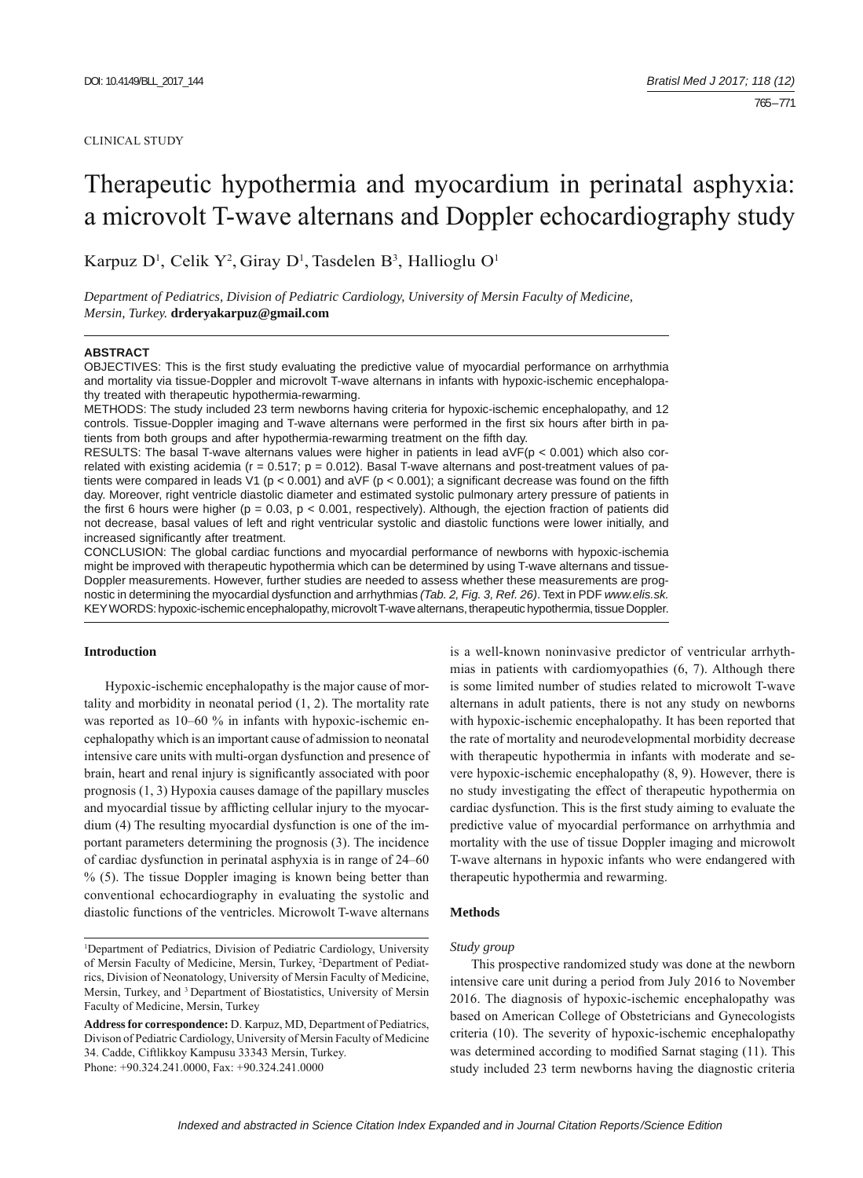#### CLINICAL STUDY

# Therapeutic hypothermia and myocardium in perinatal asphyxia: a microvolt T-wave alternans and Doppler echocardiography study

Karpuz D<sup>1</sup>, Celik Y<sup>2</sup>, Giray D<sup>1</sup>, Tasdelen B<sup>3</sup>, Hallioglu O<sup>1</sup>

*Department of Pediatrics, Division of Pediatric Cardiology, University of Mersin Faculty of Medicine, Mersin, Turkey.* **drderyakarpuz@gmail.com**

#### **ABSTRACT**

OBJECTIVES: This is the first study evaluating the predictive value of myocardial performance on arrhythmia and mortality via tissue-Doppler and microvolt T-wave alternans in infants with hypoxic-ischemic encephalopathy treated with therapeutic hypothermia-rewarming.

METHODS: The study included 23 term newborns having criteria for hypoxic-ischemic encephalopathy, and 12 controls. Tissue-Doppler imaging and T-wave alternans were performed in the first six hours after birth in patients from both groups and after hypothermia-rewarming treatment on the fifth day.

RESULTS: The basal T-wave alternans values were higher in patients in lead  $aVF(p < 0.001)$  which also correlated with existing acidemia ( $r = 0.517$ ;  $p = 0.012$ ). Basal T-wave alternans and post-treatment values of patients were compared in leads V1 ( $p < 0.001$ ) and aVF ( $p < 0.001$ ); a significant decrease was found on the fifth day. Moreover, right ventricle diastolic diameter and estimated systolic pulmonary artery pressure of patients in the first 6 hours were higher ( $p = 0.03$ ,  $p < 0.001$ , respectively). Although, the ejection fraction of patients did not decrease, basal values of left and right ventricular systolic and diastolic functions were lower initially, and increased significantly after treatment.

CONCLUSION: The global cardiac functions and myocardial performance of newborns with hypoxic-ischemia might be improved with therapeutic hypothermia which can be determined by using T-wave alternans and tissue-Doppler measurements. However, further studies are needed to assess whether these measurements are prognostic in determining the myocardial dysfunction and arrhythmias *(Tab. 2, Fig. 3, Ref. 26)*. Text in PDF *www.elis.sk.* KEY WORDS: hypoxic-ischemic encephalopathy, microvolt T-wave alternans, therapeutic hypothermia, tissue Doppler.

## **Introduction**

Hypoxic-ischemic encephalopathy is the major cause of mortality and morbidity in neonatal period (1, 2). The mortality rate was reported as 10–60 % in infants with hypoxic-ischemic encephalopathy which is an important cause of admission to neonatal intensive care units with multi-organ dysfunction and presence of brain, heart and renal injury is significantly associated with poor prognosis (1, 3) Hypoxia causes damage of the papillary muscles and myocardial tissue by afflicting cellular injury to the myocardium (4) The resulting myocardial dysfunction is one of the important parameters determining the prognosis (3). The incidence of cardiac dysfunction in perinatal asphyxia is in range of 24–60 % (5). The tissue Doppler imaging is known being better than conventional echocardiography in evaluating the systolic and diastolic functions of the ventricles. Microwolt T-wave alternans

is a well-known noninvasive predictor of ventricular arrhythmias in patients with cardiomyopathies (6, 7). Although there is some limited number of studies related to microwolt T-wave alternans in adult patients, there is not any study on newborns with hypoxic-ischemic encephalopathy. It has been reported that the rate of mortality and neurodevelopmental morbidity decrease with therapeutic hypothermia in infants with moderate and severe hypoxic-ischemic encephalopathy (8, 9). However, there is no study investigating the effect of therapeutic hypothermia on cardiac dysfunction. This is the first study aiming to evaluate the predictive value of myocardial performance on arrhythmia and mortality with the use of tissue Doppler imaging and microwolt T-wave alternans in hypoxic infants who were endangered with therapeutic hypothermia and rewarming.

## **Methods**

#### *Study group*

This prospective randomized study was done at the newborn intensive care unit during a period from July 2016 to November 2016. The diagnosis of hypoxic-ischemic encephalopathy was based on American College of Obstetricians and Gynecologists criteria (10). The severity of hypoxic-ischemic encephalopathy was determined according to modified Sarnat staging (11). This study included 23 term newborns having the diagnostic criteria

<sup>&</sup>lt;sup>1</sup>Department of Pediatrics, Division of Pediatric Cardiology, University of Mersin Faculty of Medicine, Mersin, Turkey, 2 Department of Pediatrics, Division of Neonatology, University of Mersin Faculty of Medicine, Mersin, Turkey, and 3 Department of Biostatistics, University of Mersin Faculty of Medicine, Mersin, Turkey

**Address for correspondence:** D. Karpuz, MD, Department of Pediatrics, Divison of Pediatric Cardiology, University of Mersin Faculty of Medicine 34. Cadde, Ciftlikkoy Kampusu 33343 Mersin, Turkey. Phone: +90.324.241.0000, Fax: +90.324.241.0000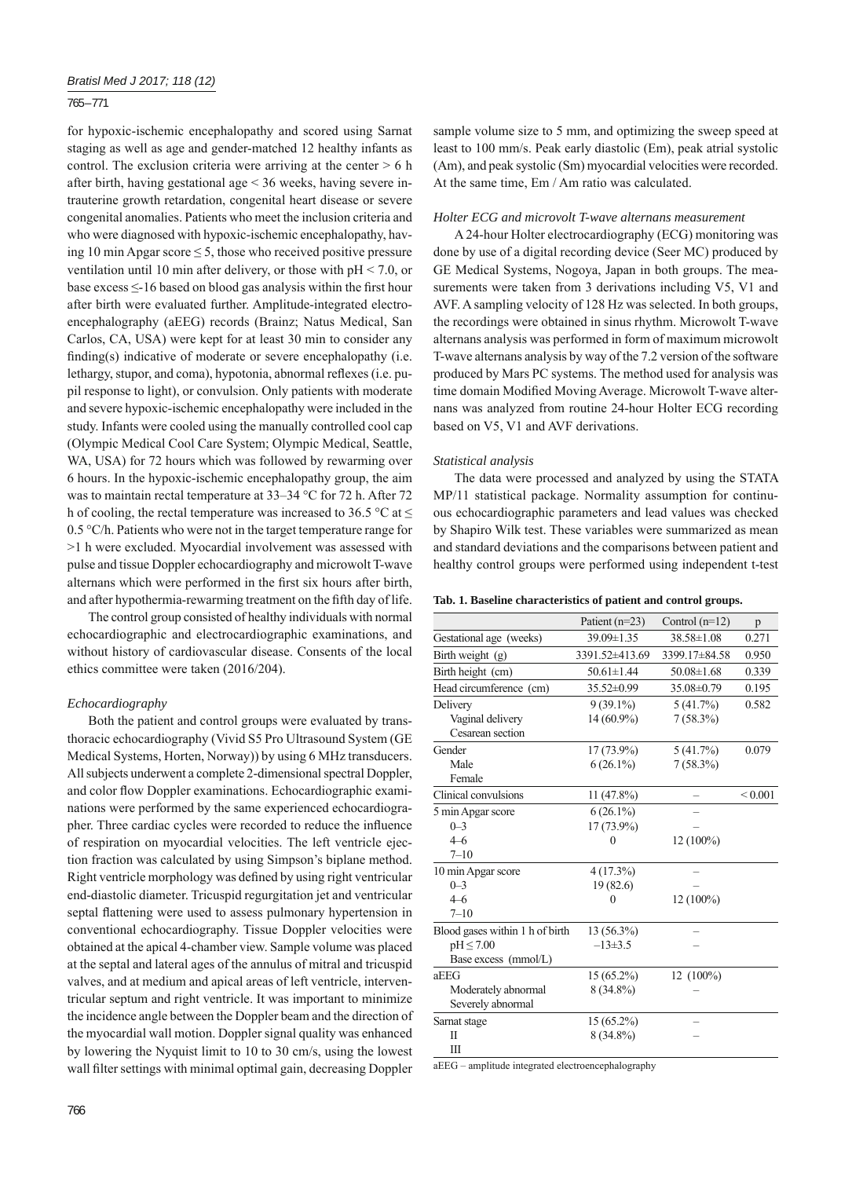## 765 – 771

for hypoxic-ischemic encephalopathy and scored using Sarnat staging as well as age and gender-matched 12 healthy infants as control. The exclusion criteria were arriving at the center  $> 6$  h after birth, having gestational age < 36 weeks, having severe intrauterine growth retardation, congenital heart disease or severe congenital anomalies. Patients who meet the inclusion criteria and who were diagnosed with hypoxic-ischemic encephalopathy, having 10 min Apgar score  $\leq$  5, those who received positive pressure ventilation until 10 min after delivery, or those with pH < 7.0, or base excess  $\leq$ -16 based on blood gas analysis within the first hour after birth were evaluated further. Amplitude-integrated electroencephalography (aEEG) records (Brainz; Natus Medical, San Carlos, CA, USA) were kept for at least 30 min to consider any finding(s) indicative of moderate or severe encephalopathy (i.e. lethargy, stupor, and coma), hypotonia, abnormal reflexes (i.e. pupil response to light), or convulsion. Only patients with moderate and severe hypoxic-ischemic encephalopathy were included in the study. Infants were cooled using the manually controlled cool cap (Olympic Medical Cool Care System; Olympic Medical, Seattle, WA, USA) for 72 hours which was followed by rewarming over 6 hours. In the hypoxic-ischemic encephalopathy group, the aim was to maintain rectal temperature at 33–34 °C for 72 h. After 72 h of cooling, the rectal temperature was increased to 36.5 °C at  $\leq$ 0.5 °C/h. Patients who were not in the target temperature range for >1 h were excluded. Myocardial involvement was assessed with pulse and tissue Doppler echocardiography and microwolt T-wave alternans which were performed in the first six hours after birth, and after hypothermia-rewarming treatment on the fifth day of life.

The control group consisted of healthy individuals with normal echocardiographic and electrocardiographic examinations, and without history of cardiovascular disease. Consents of the local ethics committee were taken (2016/204).

## *Echocardiography*

Both the patient and control groups were evaluated by transthoracic echocardiography (Vivid S5 Pro Ultrasound System (GE Medical Systems, Horten, Norway)) by using 6 MHz transducers. All subjects underwent a complete 2-dimensional spectral Doppler, and color flow Doppler examinations. Echocardiographic examinations were performed by the same experienced echocardiographer. Three cardiac cycles were recorded to reduce the influence of respiration on myocardial velocities. The left ventricle ejection fraction was calculated by using Simpson's biplane method. Right ventricle morphology was defined by using right ventricular end-diastolic diameter. Tricuspid regurgitation jet and ventricular septal flattening were used to assess pulmonary hypertension in conventional echocardiography. Tissue Doppler velocities were obtained at the apical 4-chamber view. Sample volume was placed at the septal and lateral ages of the annulus of mitral and tricuspid valves, and at medium and apical areas of left ventricle, interventricular septum and right ventricle. It was important to minimize the incidence angle between the Doppler beam and the direction of the myocardial wall motion. Doppler signal quality was enhanced by lowering the Nyquist limit to 10 to 30 cm/s, using the lowest wall filter settings with minimal optimal gain, decreasing Doppler

sample volume size to 5 mm, and optimizing the sweep speed at least to 100 mm/s. Peak early diastolic (Em), peak atrial systolic (Am), and peak systolic (Sm) myocardial velocities were recorded. At the same time, Em / Am ratio was calculated.

#### *Holter ECG and microvolt T-wave alternans measurement*

A 24-hour Holter electrocardiography (ECG) monitoring was done by use of a digital recording device (Seer MC) produced by GE Medical Systems, Nogoya, Japan in both groups. The measurements were taken from 3 derivations including V5, V1 and AVF. A sampling velocity of 128 Hz was selected. In both groups, the recordings were obtained in sinus rhythm. Microwolt T-wave alternans analysis was performed in form of maximum microwolt T-wave alternans analysis by way of the 7.2 version of the software produced by Mars PC systems. The method used for analysis was time domain Modified Moving Average. Microwolt T-wave alternans was analyzed from routine 24-hour Holter ECG recording based on V5, V1 and AVF derivations.

#### *Statistical analysis*

The data were processed and analyzed by using the STATA MP/11 statistical package. Normality assumption for continuous echocardiographic parameters and lead values was checked by Shapiro Wilk test. These variables were summarized as mean and standard deviations and the comparisons between patient and healthy control groups were performed using independent t-test

| Tab. 1. Baseline characteristics of patient and control groups. |  |  |  |  |  |  |  |  |  |
|-----------------------------------------------------------------|--|--|--|--|--|--|--|--|--|
|-----------------------------------------------------------------|--|--|--|--|--|--|--|--|--|

|                                 | Patient $(n=23)$ | Control $(n=12)$ | p            |
|---------------------------------|------------------|------------------|--------------|
| Gestational age (weeks)         | 39.09±1.35       | 38.58±1.08       | 0.271        |
| Birth weight (g)                | 3391.52±413.69   | 3399.17±84.58    | 0.950        |
| Birth height (cm)               | $50.61 \pm 1.44$ | $50.08 \pm 1.68$ | 0.339        |
| Head circumference (cm)         | 35.52±0.99       | 35.08±0.79       | 0.195        |
| Delivery                        | $9(39.1\%)$      | 5(41.7%)         | 0.582        |
| Vaginal delivery                | 14 (60.9%)       | $7(58.3\%)$      |              |
| Cesarean section                |                  |                  |              |
| Gender                          | $17(73.9\%)$     | 5(41.7%)         | 0.079        |
| Male                            | $6(26.1\%)$      | $7(58.3\%)$      |              |
| Female                          |                  |                  |              |
| Clinical convulsions            | $11(47.8\%)$     |                  | ${}_{0.001}$ |
| 5 min Apgar score               | $6(26.1\%)$      |                  |              |
| $0 - 3$                         | 17 (73.9%)       |                  |              |
| $4 - 6$                         | 0                | $12(100\%)$      |              |
| $7 - 10$                        |                  |                  |              |
| 10 min Apgar score              | $4(17.3\%)$      |                  |              |
| $0 - 3$                         | 19 (82.6)        |                  |              |
| $4 - 6$                         | 0                | $12(100\%)$      |              |
| $7 - 10$                        |                  |                  |              |
| Blood gases within 1 h of birth | 13 (56.3%)       |                  |              |
| $pH \leq 7.00$                  | $-13\pm3.5$      |                  |              |
| Base excess (mmol/L)            |                  |                  |              |
| aEEG                            | $15(65.2\%)$     | $12(100\%)$      |              |
| Moderately abnormal             | $8(34.8\%)$      |                  |              |
| Severely abnormal               |                  |                  |              |
| Sarnat stage                    | $15(65.2\%)$     |                  |              |
| Π                               | 8 (34.8%)        |                  |              |
| Ш                               |                  |                  |              |

aEEG – amplitude integrated electroencephalography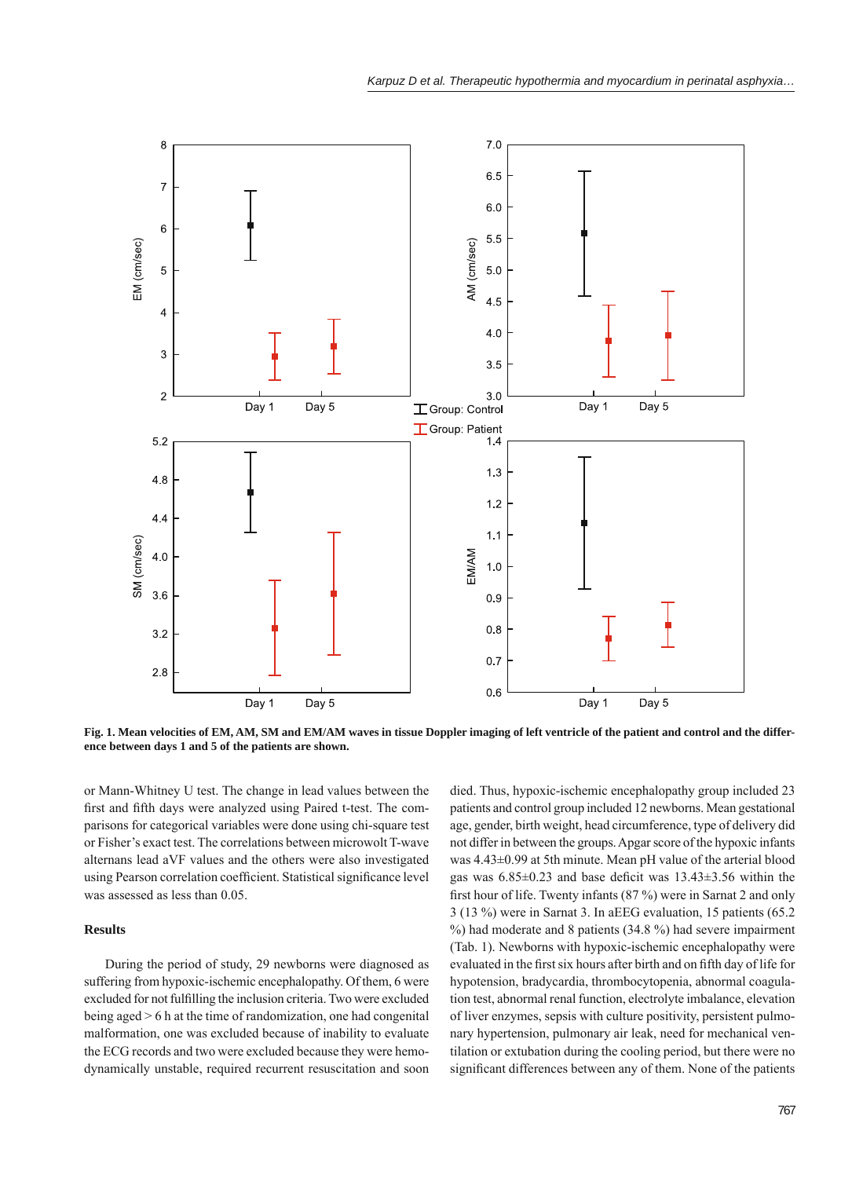

**Fig. 1. Mean velocities of EM, AM, SM and EM/AM waves in tissue Doppler imaging of left ventricle of the patient and control and the difference between days 1 and 5 of the patients are shown.**

or Mann-Whitney U test. The change in lead values between the first and fifth days were analyzed using Paired t-test. The comparisons for categorical variables were done using chi-square test or Fisher's exact test. The correlations between microwolt T-wave alternans lead aVF values and the others were also investigated using Pearson correlation coefficient. Statistical significance level was assessed as less than 0.05.

## **Results**

During the period of study, 29 newborns were diagnosed as suffering from hypoxic-ischemic encephalopathy. Of them, 6 were excluded for not fulfilling the inclusion criteria. Two were excluded being aged > 6 h at the time of randomization, one had congenital malformation, one was excluded because of inability to evaluate the ECG records and two were excluded because they were hemodynamically unstable, required recurrent resuscitation and soon

died. Thus, hypoxic-ischemic encephalopathy group included 23 patients and control group included 12 newborns. Mean gestational age, gender, birth weight, head circumference, type of delivery did not differ in between the groups. Apgar score of the hypoxic infants was 4.43±0.99 at 5th minute. Mean pH value of the arterial blood gas was  $6.85\pm0.23$  and base deficit was  $13.43\pm3.56$  within the first hour of life. Twenty infants (87 %) were in Sarnat 2 and only 3 (13 %) were in Sarnat 3. In aEEG evaluation, 15 patients (65.2 %) had moderate and 8 patients (34.8 %) had severe impairment (Tab. 1). Newborns with hypoxic-ischemic encephalopathy were evaluated in the first six hours after birth and on fifth day of life for hypotension, bradycardia, thrombocytopenia, abnormal coagulation test, abnormal renal function, electrolyte imbalance, elevation of liver enzymes, sepsis with culture positivity, persistent pulmonary hypertension, pulmonary air leak, need for mechanical ventilation or extubation during the cooling period, but there were no significant differences between any of them. None of the patients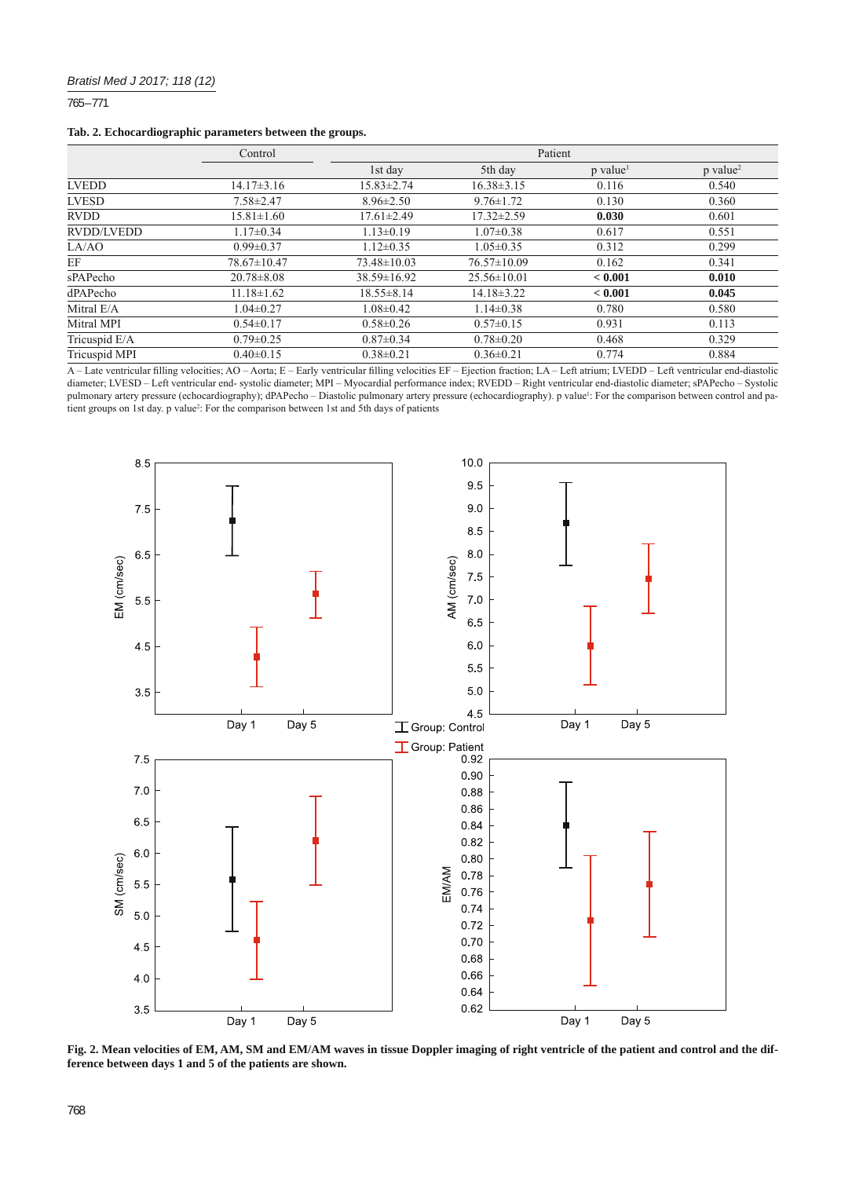# *Bratisl Med J 2017; 118 (12)*

765 – 771

|  |  | Tab. 2. Echocardiographic parameters between the groups. |  |  |  |
|--|--|----------------------------------------------------------|--|--|--|
|--|--|----------------------------------------------------------|--|--|--|

|                   | Control          | Patient           |                   |                        |                        |  |
|-------------------|------------------|-------------------|-------------------|------------------------|------------------------|--|
|                   |                  | 1st day           | 5th day           | $p$ value <sup>1</sup> | $p$ value <sup>2</sup> |  |
| <b>LVEDD</b>      | $14.17\pm3.16$   | $15.83 \pm 2.74$  | $16.38 \pm 3.15$  | 0.116                  | 0.540                  |  |
| <b>LVESD</b>      | $7.58 \pm 2.47$  | $8.96 \pm 2.50$   | $9.76 \pm 1.72$   | 0.130                  | 0.360                  |  |
| <b>RVDD</b>       | $15.81 \pm 1.60$ | $17.61 \pm 2.49$  | $17.32 \pm 2.59$  | 0.030                  | 0.601                  |  |
| <b>RVDD/LVEDD</b> | $1.17\pm0.34$    | $1.13 \pm 0.19$   | $1.07 \pm 0.38$   | 0.617                  | 0.551                  |  |
| LA/AO             | $0.99 \pm 0.37$  | $1.12 \pm 0.35$   | $1.05 \pm 0.35$   | 0.312                  | 0.299                  |  |
| EF                | 78.67±10.47      | $73.48 \pm 10.03$ | $76.57 \pm 10.09$ | 0.162                  | 0.341                  |  |
| sPAPecho          | $20.78 \pm 8.08$ | $38.59 \pm 16.92$ | $25.56 \pm 10.01$ | < 0.001                | 0.010                  |  |
| dPAPecho          | $11.18 \pm 1.62$ | $18.55 \pm 8.14$  | 14.18±3.22        | < 0.001                | 0.045                  |  |
| Mitral E/A        | $1.04\pm0.27$    | $1.08 \pm 0.42$   | $1.14 \pm 0.38$   | 0.780                  | 0.580                  |  |
| Mitral MPI        | $0.54 \pm 0.17$  | $0.58 \pm 0.26$   | $0.57 \pm 0.15$   | 0.931                  | 0.113                  |  |
| Tricuspid E/A     | $0.79 \pm 0.25$  | $0.87 \pm 0.34$   | $0.78 \pm 0.20$   | 0.468                  | 0.329                  |  |
| Tricuspid MPI     | $0.40 \pm 0.15$  | $0.38 \pm 0.21$   | $0.36 \pm 0.21$   | 0.774                  | 0.884                  |  |

A – Late ventricular fi lling velocities; AO – Aorta; E – Early ventricular fi lling velocities EF – Ejection fraction; LA – Left atrium; LVEDD – Left ventricular end-diastolic diameter; LVESD – Left ventricular end- systolic diameter; MPI – Myocardial performance index; RVEDD – Right ventricular end-diastolic diameter; sPAPecho – Systolic pulmonary artery pressure (echocardiography); dPAPecho – Diastolic pulmonary artery pressure (echocardiography). p value<sup>1</sup>: For the comparison between control and patient groups on 1st day. p value<sup>2</sup>: For the comparison between 1st and 5th days of patients



**Fig. 2. Mean velocities of EM, AM, SM and EM/AM waves in tissue Doppler imaging of right ventricle of the patient and control and the difference between days 1 and 5 of the patients are shown.**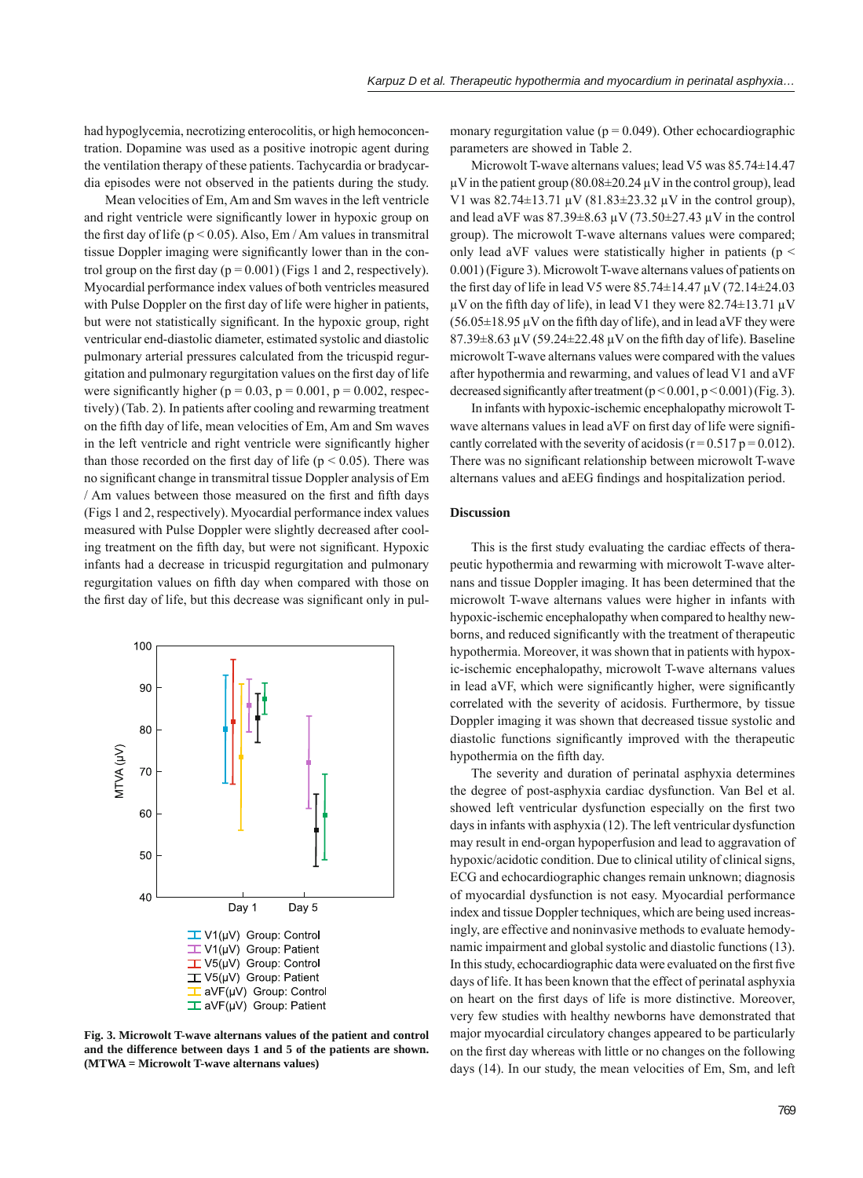had hypoglycemia, necrotizing enterocolitis, or high hemoconcentration. Dopamine was used as a positive inotropic agent during the ventilation therapy of these patients. Tachycardia or bradycardia episodes were not observed in the patients during the study.

Mean velocities of Em, Am and Sm waves in the left ventricle and right ventricle were significantly lower in hypoxic group on the first day of life ( $p < 0.05$ ). Also, Em / Am values in transmitral tissue Doppler imaging were significantly lower than in the control group on the first day ( $p = 0.001$ ) (Figs 1 and 2, respectively). Myocardial performance index values of both ventricles measured with Pulse Doppler on the first day of life were higher in patients, but were not statistically significant. In the hypoxic group, right ventricular end-diastolic diameter, estimated systolic and diastolic pulmonary arterial pressures calculated from the tricuspid regurgitation and pulmonary regurgitation values on the first day of life were significantly higher ( $p = 0.03$ ,  $p = 0.001$ ,  $p = 0.002$ , respectively) (Tab. 2). In patients after cooling and rewarming treatment on the fifth day of life, mean velocities of Em, Am and Sm waves in the left ventricle and right ventricle were significantly higher than those recorded on the first day of life ( $p < 0.05$ ). There was no significant change in transmitral tissue Doppler analysis of Em / Am values between those measured on the first and fifth days (Figs 1 and 2, respectively). Myocardial performance index values measured with Pulse Doppler were slightly decreased after cooling treatment on the fifth day, but were not significant. Hypoxic infants had a decrease in tricuspid regurgitation and pulmonary regurgitation values on fifth day when compared with those on the first day of life, but this decrease was significant only in pul-



**Fig. 3. Microwolt T-wave alternans values of the patient and control and the difference between days 1 and 5 of the patients are shown. (MTWA = Microwolt T-wave alternans values)**

monary regurgitation value ( $p = 0.049$ ). Other echocardiographic parameters are showed in Table 2.

Microwolt T-wave alternans values; lead V5 was 85.74±14.47 μV in the patient group (80.08 $\pm$ 20.24 μV in the control group), lead V1 was 82.74±13.71 μV (81.83±23.32 μV in the control group), and lead aVF was  $87.39\pm8.63 \mu V (73.50\pm27.43 \mu V)$  in the control group). The microwolt T-wave alternans values were compared; only lead aVF values were statistically higher in patients ( $p \le$ 0.001) (Figure 3). Microwolt T-wave alternans values of patients on the first day of life in lead V5 were  $85.74 \pm 14.47$   $\mu$ V (72.14 $\pm$ 24.03 μV on the fifth day of life), in lead V1 they were  $82.74\pm13.71$  μV  $(56.05\pm18.95 \,\mu\text{V}$  on the fifth day of life), and in lead aVF they were  $87.39\pm8.63 \,\mu\text{V}$  (59.24 $\pm$ 22.48  $\mu$ V on the fifth day of life). Baseline microwolt T-wave alternans values were compared with the values after hypothermia and rewarming, and values of lead V1 and aVF decreased significantly after treatment  $(p < 0.001, p < 0.001)$  (Fig. 3).

In infants with hypoxic-ischemic encephalopathy microwolt Twave alternans values in lead aVF on first day of life were significantly correlated with the severity of acidosis ( $r = 0.517$  p = 0.012). There was no significant relationship between microwolt T-wave alternans values and aEEG findings and hospitalization period.

### **Discussion**

This is the first study evaluating the cardiac effects of therapeutic hypothermia and rewarming with microwolt T-wave alternans and tissue Doppler imaging. It has been determined that the microwolt T-wave alternans values were higher in infants with hypoxic-ischemic encephalopathy when compared to healthy newborns, and reduced significantly with the treatment of therapeutic hypothermia. Moreover, it was shown that in patients with hypoxic-ischemic encephalopathy, microwolt T-wave alternans values in lead aVF, which were significantly higher, were significantly correlated with the severity of acidosis. Furthermore, by tissue Doppler imaging it was shown that decreased tissue systolic and diastolic functions significantly improved with the therapeutic hypothermia on the fifth day.

The severity and duration of perinatal asphyxia determines the degree of post-asphyxia cardiac dysfunction. Van Bel et al. showed left ventricular dysfunction especially on the first two days in infants with asphyxia (12). The left ventricular dysfunction may result in end-organ hypoperfusion and lead to aggravation of hypoxic/acidotic condition. Due to clinical utility of clinical signs, ECG and echocardiographic changes remain unknown; diagnosis of myocardial dysfunction is not easy. Myocardial performance index and tissue Doppler techniques, which are being used increasingly, are effective and noninvasive methods to evaluate hemodynamic impairment and global systolic and diastolic functions (13). In this study, echocardiographic data were evaluated on the first five days of life. It has been known that the effect of perinatal asphyxia on heart on the first days of life is more distinctive. Moreover, very few studies with healthy newborns have demonstrated that major myocardial circulatory changes appeared to be particularly on the first day whereas with little or no changes on the following days (14). In our study, the mean velocities of Em, Sm, and left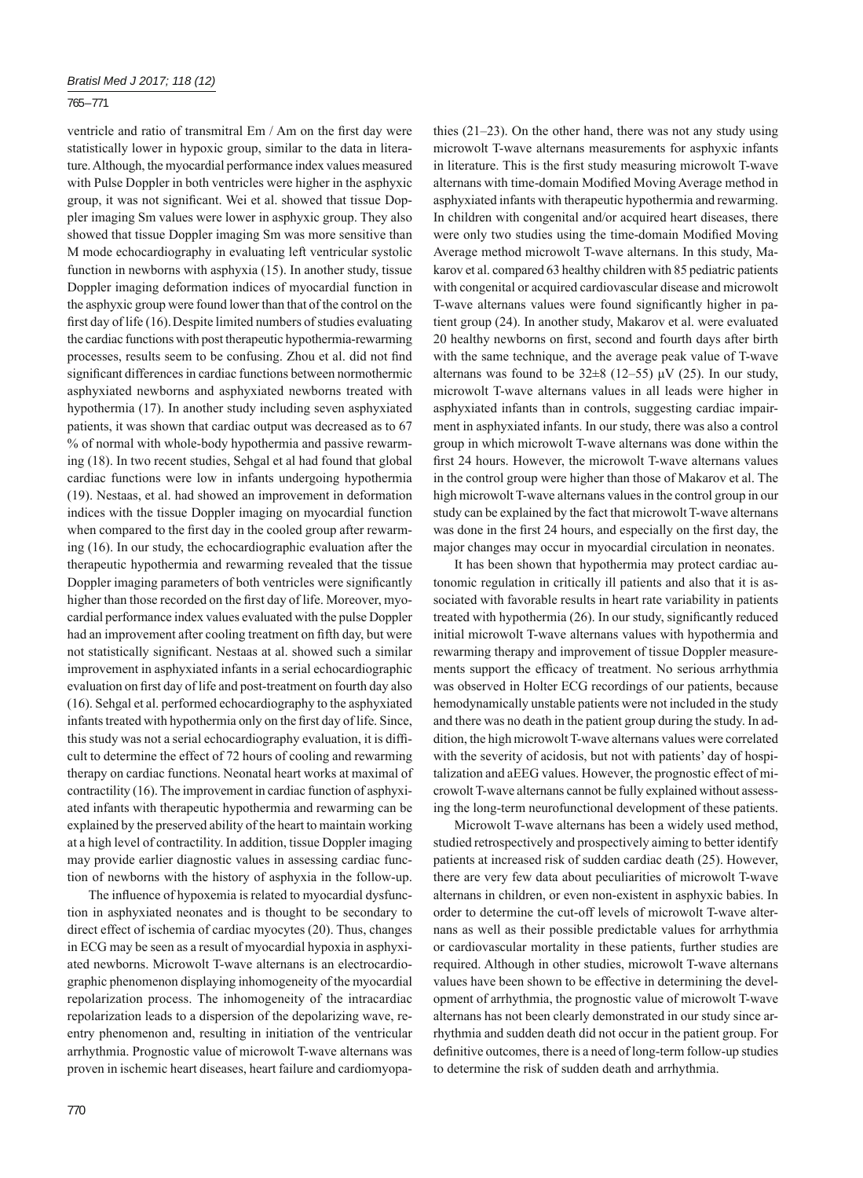## 765 – 771

ventricle and ratio of transmitral Em / Am on the first day were statistically lower in hypoxic group, similar to the data in literature. Although, the myocardial performance index values measured with Pulse Doppler in both ventricles were higher in the asphyxic group, it was not significant. Wei et al. showed that tissue Doppler imaging Sm values were lower in asphyxic group. They also showed that tissue Doppler imaging Sm was more sensitive than M mode echocardiography in evaluating left ventricular systolic function in newborns with asphyxia (15). In another study, tissue Doppler imaging deformation indices of myocardial function in the asphyxic group were found lower than that of the control on the first day of life (16). Despite limited numbers of studies evaluating the cardiac functions with post therapeutic hypothermia-rewarming processes, results seem to be confusing. Zhou et al. did not find significant differences in cardiac functions between normothermic asphyxiated newborns and asphyxiated newborns treated with hypothermia (17). In another study including seven asphyxiated patients, it was shown that cardiac output was decreased as to 67 % of normal with whole-body hypothermia and passive rewarming (18). In two recent studies, Sehgal et al had found that global cardiac functions were low in infants undergoing hypothermia (19). Nestaas, et al. had showed an improvement in deformation indices with the tissue Doppler imaging on myocardial function when compared to the first day in the cooled group after rewarming (16). In our study, the echocardiographic evaluation after the therapeutic hypothermia and rewarming revealed that the tissue Doppler imaging parameters of both ventricles were significantly higher than those recorded on the first day of life. Moreover, myocardial performance index values evaluated with the pulse Doppler had an improvement after cooling treatment on fifth day, but were not statistically significant. Nestaas at al. showed such a similar improvement in asphyxiated infants in a serial echocardiographic evaluation on first day of life and post-treatment on fourth day also (16). Sehgal et al. performed echocardiography to the asphyxiated infants treated with hypothermia only on the first day of life. Since, this study was not a serial echocardiography evaluation, it is diffi cult to determine the effect of 72 hours of cooling and rewarming therapy on cardiac functions. Neonatal heart works at maximal of contractility (16). The improvement in cardiac function of asphyxiated infants with therapeutic hypothermia and rewarming can be explained by the preserved ability of the heart to maintain working at a high level of contractility. In addition, tissue Doppler imaging may provide earlier diagnostic values in assessing cardiac function of newborns with the history of asphyxia in the follow-up.

The influence of hypoxemia is related to myocardial dysfunction in asphyxiated neonates and is thought to be secondary to direct effect of ischemia of cardiac myocytes (20). Thus, changes in ECG may be seen as a result of myocardial hypoxia in asphyxiated newborns. Microwolt T-wave alternans is an electrocardiographic phenomenon displaying inhomogeneity of the myocardial repolarization process. The inhomogeneity of the intracardiac repolarization leads to a dispersion of the depolarizing wave, reentry phenomenon and, resulting in initiation of the ventricular arrhythmia. Prognostic value of microwolt T-wave alternans was proven in ischemic heart diseases, heart failure and cardiomyopathies (21–23). On the other hand, there was not any study using microwolt T-wave alternans measurements for asphyxic infants in literature. This is the first study measuring microwolt T-wave alternans with time-domain Modified Moving Average method in asphyxiated infants with therapeutic hypothermia and rewarming. In children with congenital and/or acquired heart diseases, there were only two studies using the time-domain Modified Moving Average method microwolt T-wave alternans. In this study, Makarov et al. compared 63 healthy children with 85 pediatric patients with congenital or acquired cardiovascular disease and microwolt T-wave alternans values were found significantly higher in patient group (24). In another study, Makarov et al. were evaluated 20 healthy newborns on first, second and fourth days after birth with the same technique, and the average peak value of T-wave alternans was found to be  $32\pm8$  (12–55)  $\mu$ V (25). In our study, microwolt T-wave alternans values in all leads were higher in asphyxiated infants than in controls, suggesting cardiac impairment in asphyxiated infants. In our study, there was also a control group in which microwolt T-wave alternans was done within the first 24 hours. However, the microwolt T-wave alternans values in the control group were higher than those of Makarov et al. The high microwolt T-wave alternans values in the control group in our study can be explained by the fact that microwolt T-wave alternans was done in the first 24 hours, and especially on the first day, the major changes may occur in myocardial circulation in neonates.

It has been shown that hypothermia may protect cardiac autonomic regulation in critically ill patients and also that it is associated with favorable results in heart rate variability in patients treated with hypothermia (26). In our study, significantly reduced initial microwolt T-wave alternans values with hypothermia and rewarming therapy and improvement of tissue Doppler measurements support the efficacy of treatment. No serious arrhythmia was observed in Holter ECG recordings of our patients, because hemodynamically unstable patients were not included in the study and there was no death in the patient group during the study. In addition, the high microwolt T-wave alternans values were correlated with the severity of acidosis, but not with patients' day of hospitalization and aEEG values. However, the prognostic effect of microwolt T-wave alternans cannot be fully explained without assessing the long-term neurofunctional development of these patients.

Microwolt T-wave alternans has been a widely used method, studied retrospectively and prospectively aiming to better identify patients at increased risk of sudden cardiac death (25). However, there are very few data about peculiarities of microwolt T-wave alternans in children, or even non-existent in asphyxic babies. In order to determine the cut-off levels of microwolt T-wave alternans as well as their possible predictable values for arrhythmia or cardiovascular mortality in these patients, further studies are required. Although in other studies, microwolt T-wave alternans values have been shown to be effective in determining the development of arrhythmia, the prognostic value of microwolt T-wave alternans has not been clearly demonstrated in our study since arrhythmia and sudden death did not occur in the patient group. For definitive outcomes, there is a need of long-term follow-up studies to determine the risk of sudden death and arrhythmia.